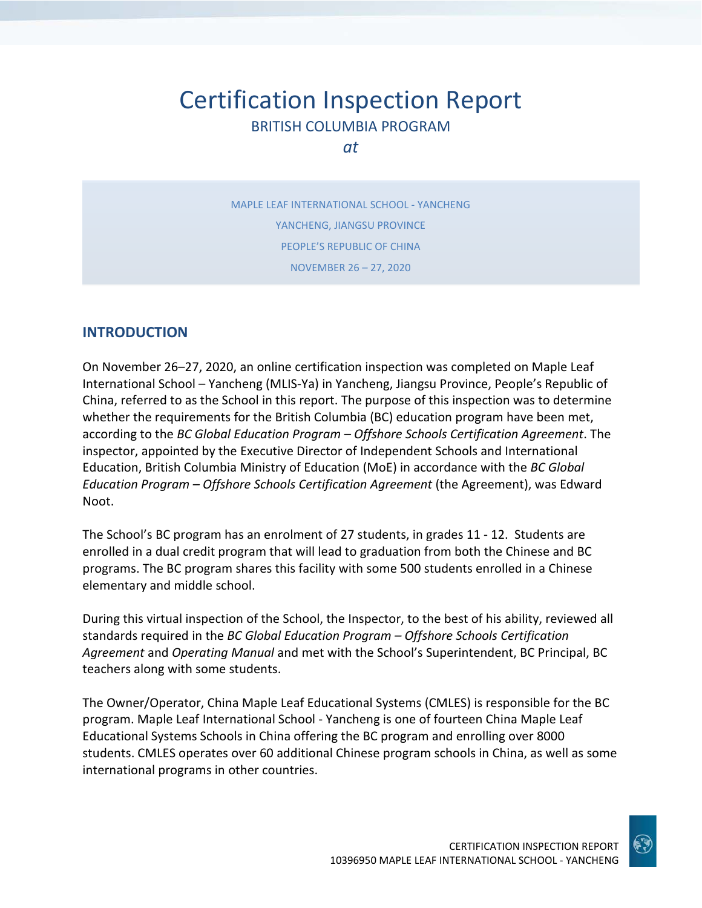# Certification Inspection Report BRITISH COLUMBIA PROGRAM

*at*

MAPLE LEAF INTERNATIONAL SCHOOL - YANCHENG YANCHENG, JIANGSU PROVINCE PEOPLE'S REPUBLIC OF CHINA NOVEMBER 26 – 27, 2020

### **INTRODUCTION**

On November 26–27, 2020, an online certification inspection was completed on Maple Leaf International School – Yancheng (MLIS-Ya) in Yancheng, Jiangsu Province, People's Republic of China, referred to as the School in this report. The purpose of this inspection was to determine whether the requirements for the British Columbia (BC) education program have been met, according to the *BC Global Education Program – Offshore Schools Certification Agreement*. The inspector, appointed by the Executive Director of Independent Schools and International Education, British Columbia Ministry of Education (MoE) in accordance with the *BC Global Education Program – Offshore Schools Certification Agreement* (the Agreement), was Edward Noot.

The School's BC program has an enrolment of 27 students, in grades 11 - 12. Students are enrolled in a dual credit program that will lead to graduation from both the Chinese and BC programs. The BC program shares this facility with some 500 students enrolled in a Chinese elementary and middle school.

During this virtual inspection of the School, the Inspector, to the best of his ability, reviewed all standards required in the *BC Global Education Program – Offshore Schools Certification Agreement* and *Operating Manual* and met with the School's Superintendent, BC Principal, BC teachers along with some students.

The Owner/Operator, China Maple Leaf Educational Systems (CMLES) is responsible for the BC program. Maple Leaf International School - Yancheng is one of fourteen China Maple Leaf Educational Systems Schools in China offering the BC program and enrolling over 8000 students. CMLES operates over 60 additional Chinese program schools in China, as well as some international programs in other countries.

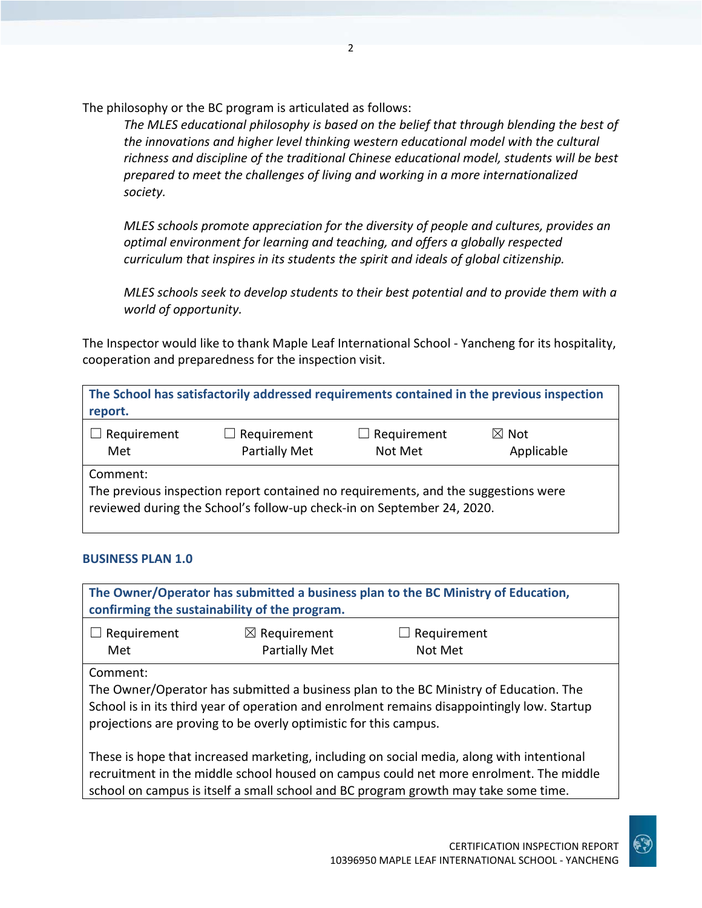The philosophy or the BC program is articulated as follows:

*The MLES educational philosophy is based on the belief that through blending the best of the innovations and higher level thinking western educational model with the cultural richness and discipline of the traditional Chinese educational model, students will be best prepared to meet the challenges of living and working in a more internationalized society.*

*MLES schools promote appreciation for the diversity of people and cultures, provides an optimal environment for learning and teaching, and offers a globally respected curriculum that inspires in its students the spirit and ideals of global citizenship.*

*MLES schools seek to develop students to their best potential and to provide them with a world of opportunity.*

The Inspector would like to thank Maple Leaf International School - Yancheng for its hospitality, cooperation and preparedness for the inspection visit.

| report.            |                                                                                                                                                              |                               | The School has satisfactorily addressed requirements contained in the previous inspection |
|--------------------|--------------------------------------------------------------------------------------------------------------------------------------------------------------|-------------------------------|-------------------------------------------------------------------------------------------|
| Requirement<br>Met | $\Box$ Requirement<br>Partially Met                                                                                                                          | $\Box$ Requirement<br>Not Met | $\boxtimes$ Not<br>Applicable                                                             |
| Comment:           | The previous inspection report contained no requirements, and the suggestions were<br>reviewed during the School's follow-up check-in on September 24, 2020. |                               |                                                                                           |

#### **BUSINESS PLAN 1.0**

**The Owner/Operator has submitted a business plan to the BC Ministry of Education, confirming the sustainability of the program.**

| $\Box$ Requirement | $\boxtimes$ Requirement | $\Box$ Requirement |  |
|--------------------|-------------------------|--------------------|--|
| Met                | Partially Met           | Not Met            |  |

Comment:

The Owner/Operator has submitted a business plan to the BC Ministry of Education. The School is in its third year of operation and enrolment remains disappointingly low. Startup projections are proving to be overly optimistic for this campus.

These is hope that increased marketing, including on social media, along with intentional recruitment in the middle school housed on campus could net more enrolment. The middle school on campus is itself a small school and BC program growth may take some time.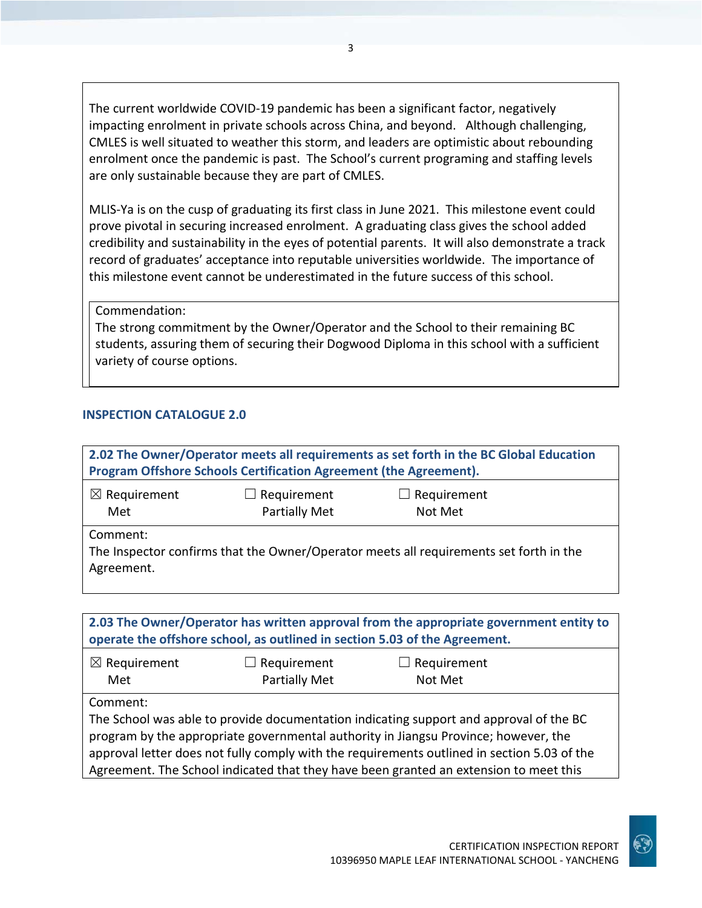The current worldwide COVID-19 pandemic has been a significant factor, negatively impacting enrolment in private schools across China, and beyond. Although challenging, CMLES is well situated to weather this storm, and leaders are optimistic about rebounding enrolment once the pandemic is past. The School's current programing and staffing levels are only sustainable because they are part of CMLES.

MLIS-Ya is on the cusp of graduating its first class in June 2021. This milestone event could prove pivotal in securing increased enrolment. A graduating class gives the school added credibility and sustainability in the eyes of potential parents. It will also demonstrate a track record of graduates' acceptance into reputable universities worldwide. The importance of this milestone event cannot be underestimated in the future success of this school.

Commendation:

The strong commitment by the Owner/Operator and the School to their remaining BC students, assuring them of securing their Dogwood Diploma in this school with a sufficient variety of course options.

#### **INSPECTION CATALOGUE 2.0**

| 2.02 The Owner/Operator meets all requirements as set forth in the BC Global Education<br>Program Offshore Schools Certification Agreement (the Agreement). |  |                                                                                        |  |
|-------------------------------------------------------------------------------------------------------------------------------------------------------------|--|----------------------------------------------------------------------------------------|--|
| $\boxtimes$ Requirement<br>$\Box$ Requirement<br>$\Box$ Requirement<br><b>Partially Met</b><br>Met<br>Not Met                                               |  |                                                                                        |  |
| Comment:<br>Agreement.                                                                                                                                      |  | The Inspector confirms that the Owner/Operator meets all requirements set forth in the |  |

| 2.03 The Owner/Operator has written approval from the appropriate government entity to<br>operate the offshore school, as outlined in section 5.03 of the Agreement. |                                     |                                                                                        |  |
|----------------------------------------------------------------------------------------------------------------------------------------------------------------------|-------------------------------------|----------------------------------------------------------------------------------------|--|
| $\boxtimes$ Requirement<br>Met                                                                                                                                       | $\Box$ Requirement<br>Partially Met | $\Box$ Requirement<br>Not Met                                                          |  |
| Comment:                                                                                                                                                             |                                     | The School was able to provide documentation indicating support and approval of the BC |  |

program by the appropriate governmental authority in Jiangsu Province; however, the approval letter does not fully comply with the requirements outlined in section 5.03 of the Agreement. The School indicated that they have been granted an extension to meet this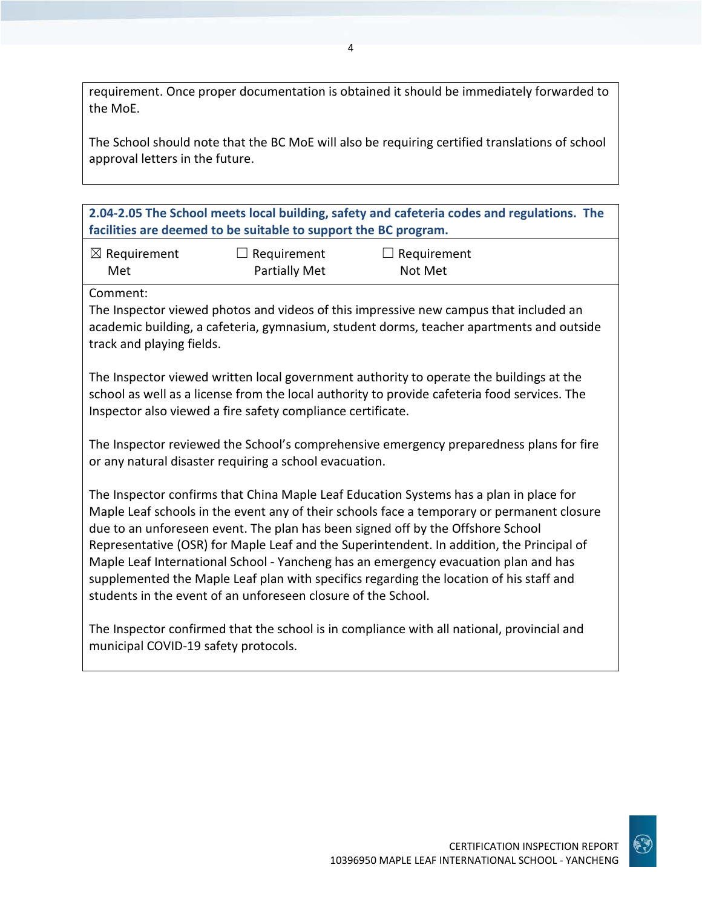requirement. Once proper documentation is obtained it should be immediately forwarded to the MoE.

The School should note that the BC MoE will also be requiring certified translations of school approval letters in the future.

**2.04-2.05 The School meets local building, safety and cafeteria codes and regulations. The facilities are deemed to be suitable to support the BC program.**

| $\boxtimes$ Requirement | $\Box$ Requirement | $\Box$ Requirement |
|-------------------------|--------------------|--------------------|
| Met                     | Partially Met      | Not Met            |

Comment:

The Inspector viewed photos and videos of this impressive new campus that included an academic building, a cafeteria, gymnasium, student dorms, teacher apartments and outside track and playing fields.

The Inspector viewed written local government authority to operate the buildings at the school as well as a license from the local authority to provide cafeteria food services. The Inspector also viewed a fire safety compliance certificate.

The Inspector reviewed the School's comprehensive emergency preparedness plans for fire or any natural disaster requiring a school evacuation.

The Inspector confirms that China Maple Leaf Education Systems has a plan in place for Maple Leaf schools in the event any of their schools face a temporary or permanent closure due to an unforeseen event. The plan has been signed off by the Offshore School Representative (OSR) for Maple Leaf and the Superintendent. In addition, the Principal of Maple Leaf International School - Yancheng has an emergency evacuation plan and has supplemented the Maple Leaf plan with specifics regarding the location of his staff and students in the event of an unforeseen closure of the School.

The Inspector confirmed that the school is in compliance with all national, provincial and municipal COVID-19 safety protocols.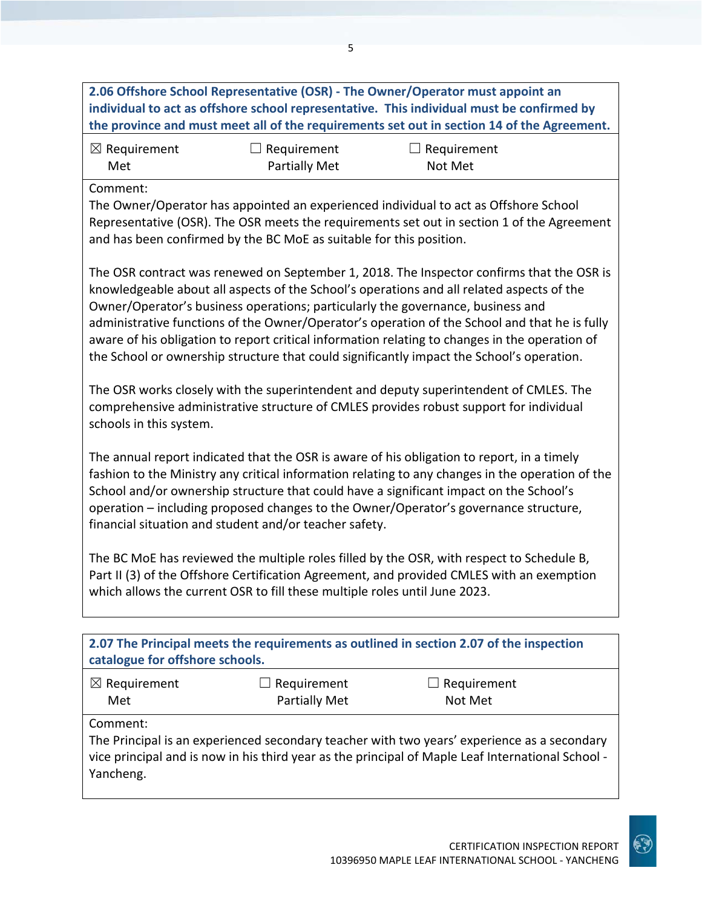**individual to act as offshore school representative. This individual must be confirmed by the province and must meet all of the requirements set out in section 14 of the Agreement.** ☒ Requirement Met ☐ Requirement Partially Met  $\Box$  Requirement Not Met Comment: The Owner/Operator has appointed an experienced individual to act as Offshore School Representative (OSR). The OSR meets the requirements set out in section 1 of the Agreement and has been confirmed by the BC MoE as suitable for this position. The OSR contract was renewed on September 1, 2018. The Inspector confirms that the OSR is knowledgeable about all aspects of the School's operations and all related aspects of the Owner/Operator's business operations; particularly the governance, business and administrative functions of the Owner/Operator's operation of the School and that he is fully aware of his obligation to report critical information relating to changes in the operation of the School or ownership structure that could significantly impact the School's operation. The OSR works closely with the superintendent and deputy superintendent of CMLES. The comprehensive administrative structure of CMLES provides robust support for individual schools in this system. The annual report indicated that the OSR is aware of his obligation to report, in a timely fashion to the Ministry any critical information relating to any changes in the operation of the School and/or ownership structure that could have a significant impact on the School's operation – including proposed changes to the Owner/Operator's governance structure, financial situation and student and/or teacher safety. The BC MoE has reviewed the multiple roles filled by the OSR, with respect to Schedule B, Part II (3) of the Offshore Certification Agreement, and provided CMLES with an exemption which allows the current OSR to fill these multiple roles until June 2023.

| catalogue for offshore schools. |                                                          | 2.07 The Principal meets the requirements as outlined in section 2.07 of the inspection                                                                                                          |
|---------------------------------|----------------------------------------------------------|--------------------------------------------------------------------------------------------------------------------------------------------------------------------------------------------------|
| $\boxtimes$ Requirement<br>Met  | Requirement<br>$\overline{\phantom{0}}$<br>Partially Met | $\Box$ Requirement<br>Not Met                                                                                                                                                                    |
| Comment:<br>Yancheng.           |                                                          | The Principal is an experienced secondary teacher with two years' experience as a secondary<br>vice principal and is now in his third year as the principal of Maple Leaf International School - |

**2.06 Offshore School Representative (OSR) - The Owner/Operator must appoint an**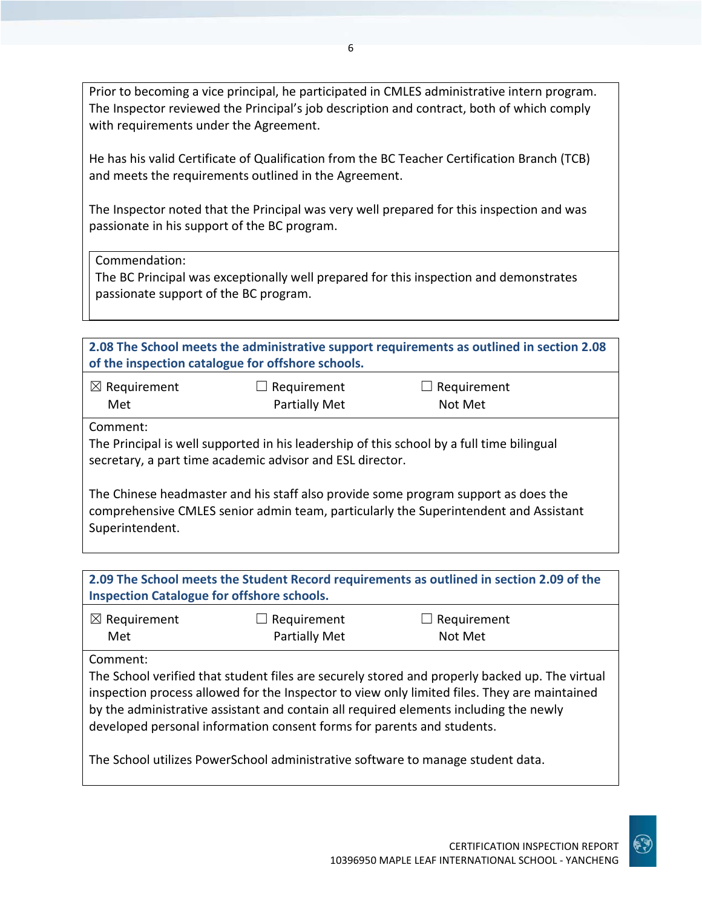Prior to becoming a vice principal, he participated in CMLES administrative intern program. The Inspector reviewed the Principal's job description and contract, both of which comply with requirements under the Agreement.

He has his valid Certificate of Qualification from the BC Teacher Certification Branch (TCB) and meets the requirements outlined in the Agreement.

The Inspector noted that the Principal was very well prepared for this inspection and was passionate in his support of the BC program.

Commendation:

The BC Principal was exceptionally well prepared for this inspection and demonstrates passionate support of the BC program.

| 2.08 The School meets the administrative support requirements as outlined in section 2.08<br>of the inspection catalogue for offshore schools. |                                     |                                                                                                                                                                                 |  |
|------------------------------------------------------------------------------------------------------------------------------------------------|-------------------------------------|---------------------------------------------------------------------------------------------------------------------------------------------------------------------------------|--|
| $\boxtimes$ Requirement<br>Met                                                                                                                 | Requirement<br><b>Partially Met</b> | Requirement<br>Not Met                                                                                                                                                          |  |
| Comment:<br>secretary, a part time academic advisor and ESL director.                                                                          |                                     | The Principal is well supported in his leadership of this school by a full time bilingual<br>The Chinese headmaster and his staff also provide some program support as does the |  |
| Superintendent.                                                                                                                                |                                     | comprehensive CMLES senior admin team, particularly the Superintendent and Assistant                                                                                            |  |

| <b>Inspection Catalogue for offshore schools.</b> |
|---------------------------------------------------|

| $\boxtimes$ Requirement | $\Box$ Requirement   | $\Box$ Requirement |  |
|-------------------------|----------------------|--------------------|--|
| Met                     | <b>Partially Met</b> | Not Met            |  |

Comment:

The School verified that student files are securely stored and properly backed up. The virtual inspection process allowed for the Inspector to view only limited files. They are maintained by the administrative assistant and contain all required elements including the newly developed personal information consent forms for parents and students.

The School utilizes PowerSchool administrative software to manage student data.

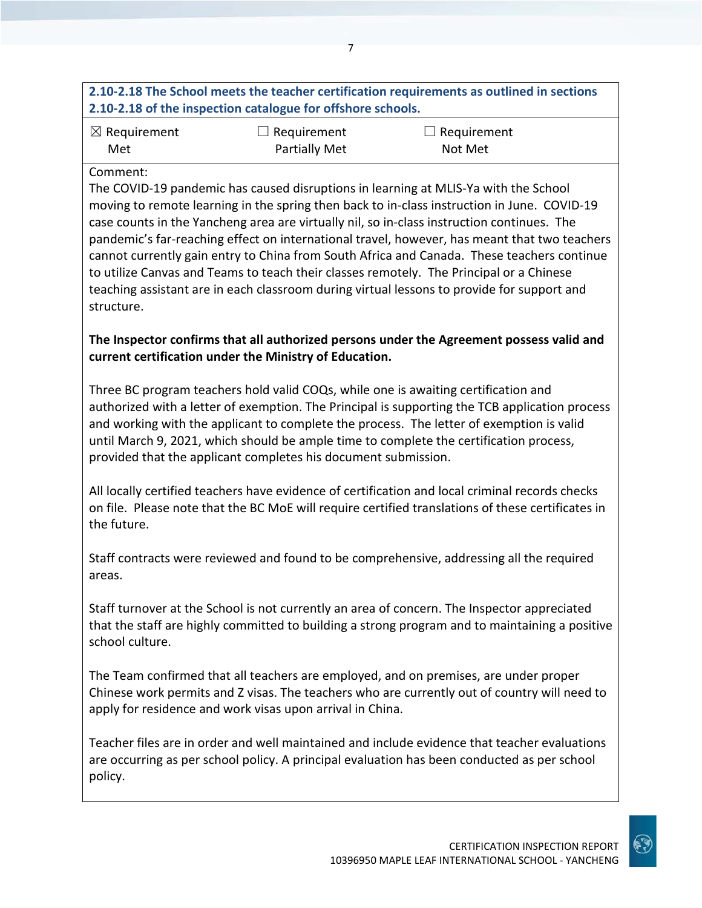## **2.10-2.18 The School meets the teacher certification requirements as outlined in sections 2.10-2.18 of the inspection catalogue for offshore schools.**

| $\boxtimes$ Requirement | $\Box$ Requirement | $\Box$ Requirement |
|-------------------------|--------------------|--------------------|
| Met                     | Partially Met      | Not Met            |

#### Comment:

The COVID-19 pandemic has caused disruptions in learning at MLIS-Ya with the School moving to remote learning in the spring then back to in-class instruction in June. COVID-19 case counts in the Yancheng area are virtually nil, so in-class instruction continues. The pandemic's far-reaching effect on international travel, however, has meant that two teachers cannot currently gain entry to China from South Africa and Canada. These teachers continue to utilize Canvas and Teams to teach their classes remotely. The Principal or a Chinese teaching assistant are in each classroom during virtual lessons to provide for support and structure.

### **The Inspector confirms that all authorized persons under the Agreement possess valid and current certification under the Ministry of Education.**

Three BC program teachers hold valid COQs, while one is awaiting certification and authorized with a letter of exemption. The Principal is supporting the TCB application process and working with the applicant to complete the process. The letter of exemption is valid until March 9, 2021, which should be ample time to complete the certification process, provided that the applicant completes his document submission.

All locally certified teachers have evidence of certification and local criminal records checks on file. Please note that the BC MoE will require certified translations of these certificates in the future.

Staff contracts were reviewed and found to be comprehensive, addressing all the required areas.

Staff turnover at the School is not currently an area of concern. The Inspector appreciated that the staff are highly committed to building a strong program and to maintaining a positive school culture.

The Team confirmed that all teachers are employed, and on premises, are under proper Chinese work permits and Z visas. The teachers who are currently out of country will need to apply for residence and work visas upon arrival in China.

Teacher files are in order and well maintained and include evidence that teacher evaluations are occurring as per school policy. A principal evaluation has been conducted as per school policy.

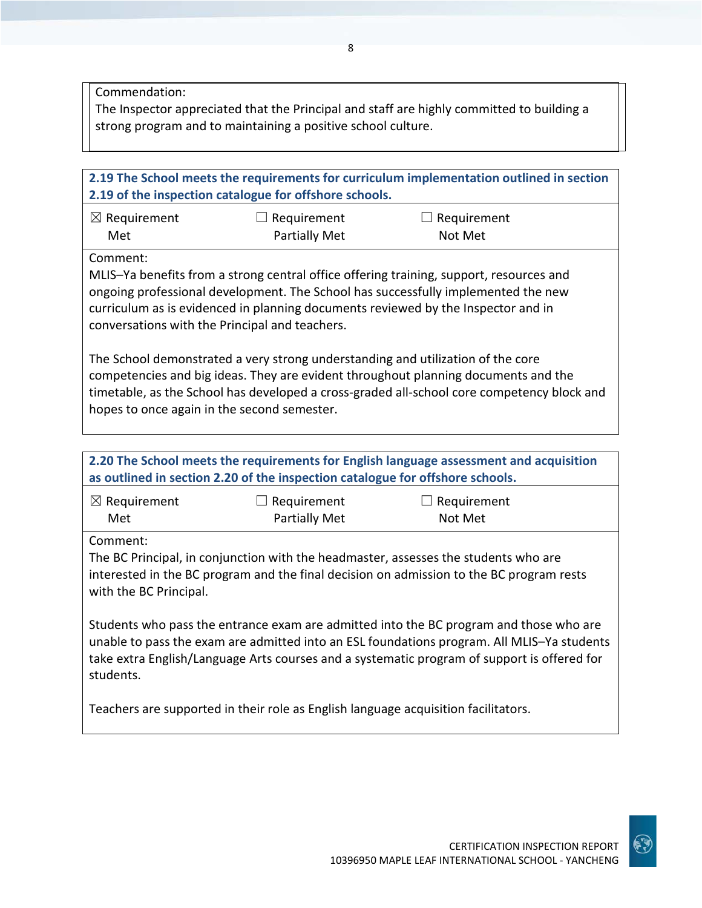Commendation:

The Inspector appreciated that the Principal and staff are highly committed to building a strong program and to maintaining a positive school culture.

| 2.19 The School meets the requirements for curriculum implementation outlined in section<br>2.19 of the inspection catalogue for offshore schools.                                                                                                                                                                 |                                                                                    |                                                                                                                                                                                                                                                                                     |  |
|--------------------------------------------------------------------------------------------------------------------------------------------------------------------------------------------------------------------------------------------------------------------------------------------------------------------|------------------------------------------------------------------------------------|-------------------------------------------------------------------------------------------------------------------------------------------------------------------------------------------------------------------------------------------------------------------------------------|--|
| $\boxtimes$ Requirement                                                                                                                                                                                                                                                                                            | $\Box$ Requirement                                                                 | $\Box$ Requirement                                                                                                                                                                                                                                                                  |  |
| Met                                                                                                                                                                                                                                                                                                                | <b>Partially Met</b>                                                               | Not Met                                                                                                                                                                                                                                                                             |  |
|                                                                                                                                                                                                                                                                                                                    |                                                                                    |                                                                                                                                                                                                                                                                                     |  |
| Comment:<br>conversations with the Principal and teachers.                                                                                                                                                                                                                                                         |                                                                                    | MLIS-Ya benefits from a strong central office offering training, support, resources and<br>ongoing professional development. The School has successfully implemented the new<br>curriculum as is evidenced in planning documents reviewed by the Inspector and in                   |  |
| The School demonstrated a very strong understanding and utilization of the core<br>competencies and big ideas. They are evident throughout planning documents and the<br>timetable, as the School has developed a cross-graded all-school core competency block and<br>hopes to once again in the second semester. |                                                                                    |                                                                                                                                                                                                                                                                                     |  |
|                                                                                                                                                                                                                                                                                                                    |                                                                                    |                                                                                                                                                                                                                                                                                     |  |
|                                                                                                                                                                                                                                                                                                                    | as outlined in section 2.20 of the inspection catalogue for offshore schools.      | 2.20 The School meets the requirements for English language assessment and acquisition                                                                                                                                                                                              |  |
| $\boxtimes$ Requirement<br>Met                                                                                                                                                                                                                                                                                     | $\Box$ Requirement<br><b>Partially Met</b>                                         | $\Box$ Requirement<br>Not Met                                                                                                                                                                                                                                                       |  |
| Comment:<br>with the BC Principal.                                                                                                                                                                                                                                                                                 |                                                                                    | The BC Principal, in conjunction with the headmaster, assesses the students who are<br>interested in the BC program and the final decision on admission to the BC program rests                                                                                                     |  |
| students.                                                                                                                                                                                                                                                                                                          |                                                                                    | Students who pass the entrance exam are admitted into the BC program and those who are<br>unable to pass the exam are admitted into an ESL foundations program. All MLIS-Ya students<br>take extra English/Language Arts courses and a systematic program of support is offered for |  |
|                                                                                                                                                                                                                                                                                                                    | Teachers are supported in their role as English language acquisition facilitators. |                                                                                                                                                                                                                                                                                     |  |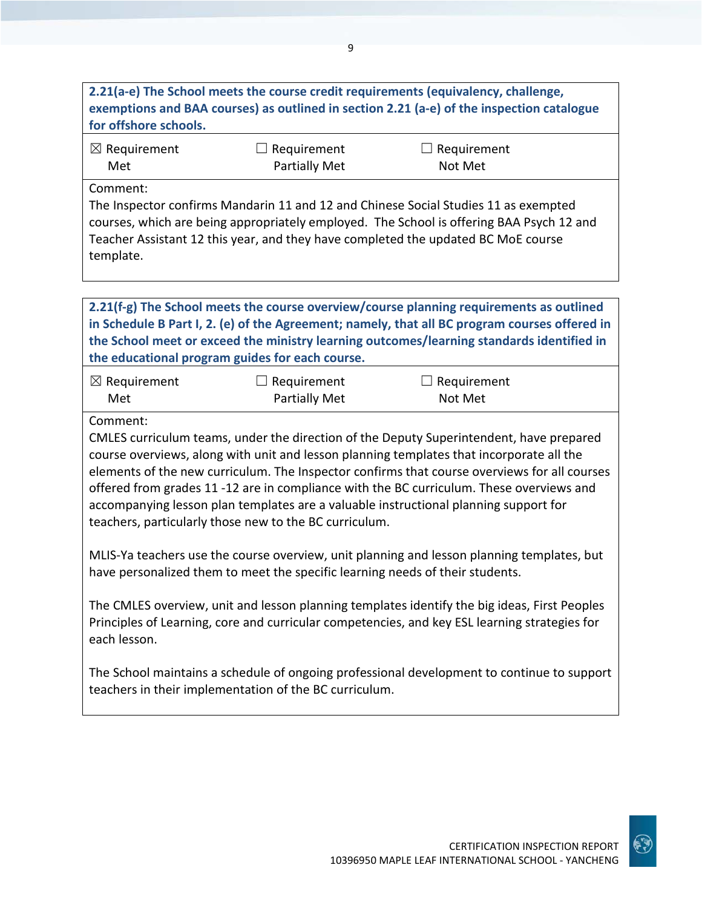## **2.21(a-e) The School meets the course credit requirements (equivalency, challenge, exemptions and BAA courses) as outlined in section 2.21 (a-e) of the inspection catalogue for offshore schools.**

9

| $\boxtimes$ Requirement | $\Box$ Requirement   | $\Box$ Requirement |  |
|-------------------------|----------------------|--------------------|--|
| Met                     | <b>Partially Met</b> | Not Met            |  |

Comment:

The Inspector confirms Mandarin 11 and 12 and Chinese Social Studies 11 as exempted courses, which are being appropriately employed. The School is offering BAA Psych 12 and Teacher Assistant 12 this year, and they have completed the updated BC MoE course template.

**2.21(f-g) The School meets the course overview/course planning requirements as outlined in Schedule B Part I, 2. (e) of the Agreement; namely, that all BC program courses offered in the School meet or exceed the ministry learning outcomes/learning standards identified in the educational program guides for each course.**

| $\boxtimes$ Requirement | $\Box$ Requirement | $\Box$ Requirement |
|-------------------------|--------------------|--------------------|
| Met                     | Partially Met      | Not Met            |

Comment:

CMLES curriculum teams, under the direction of the Deputy Superintendent, have prepared course overviews, along with unit and lesson planning templates that incorporate all the elements of the new curriculum. The Inspector confirms that course overviews for all courses offered from grades 11 -12 are in compliance with the BC curriculum. These overviews and accompanying lesson plan templates are a valuable instructional planning support for teachers, particularly those new to the BC curriculum.

MLIS-Ya teachers use the course overview, unit planning and lesson planning templates, but have personalized them to meet the specific learning needs of their students.

The CMLES overview, unit and lesson planning templates identify the big ideas, First Peoples Principles of Learning, core and curricular competencies, and key ESL learning strategies for each lesson.

The School maintains a schedule of ongoing professional development to continue to support teachers in their implementation of the BC curriculum.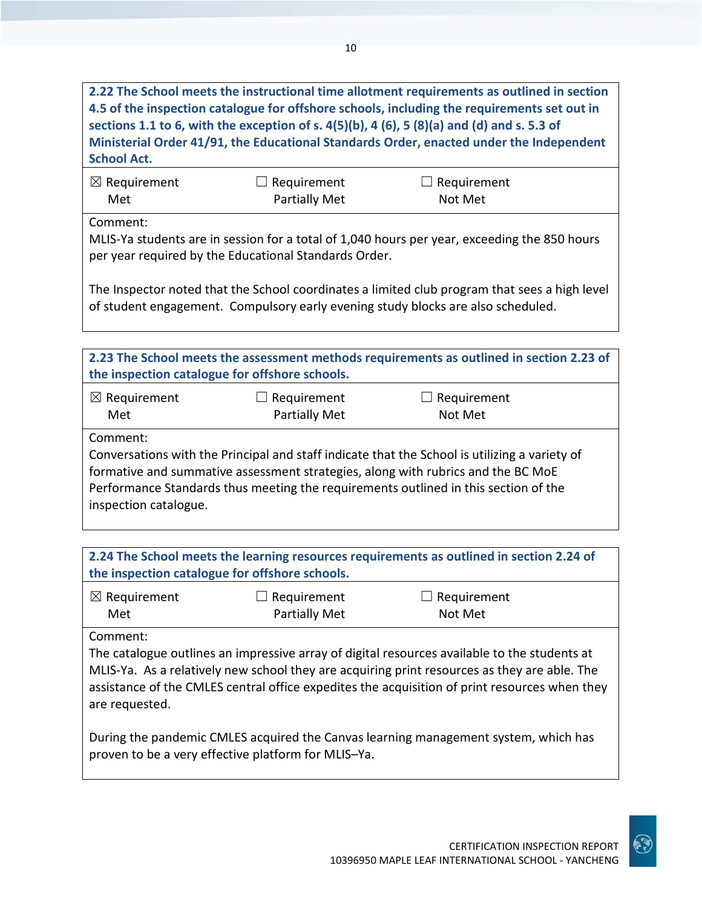**2.22 The School meets the instructional time allotment requirements as outlined in section 4.5 of the inspection catalogue for offshore schools, including the requirements set out in sections 1.1 to 6, with the exception of s. 4(5)(b), 4 (6), 5 (8)(a) and (d) and s. 5.3 of Ministerial Order 41/91, the Educational Standards Order, enacted under the Independent School Act.**

| $\boxtimes$ Requirement | $\Box$ Requirement   | $\Box$ Requirement |
|-------------------------|----------------------|--------------------|
| Met                     | <b>Partially Met</b> | Not Met            |

Comment:

MLIS-Ya students are in session for a total of 1,040 hours per year, exceeding the 850 hours per year required by the Educational Standards Order.

The Inspector noted that the School coordinates a limited club program that sees a high level of student engagement. Compulsory early evening study blocks are also scheduled.

| 2.23 The School meets the assessment methods requirements as outlined in section 2.23 of<br>the inspection catalogue for offshore schools.                                                                                                                                                                    |               |                    |  |
|---------------------------------------------------------------------------------------------------------------------------------------------------------------------------------------------------------------------------------------------------------------------------------------------------------------|---------------|--------------------|--|
| $\boxtimes$ Requirement                                                                                                                                                                                                                                                                                       | Requirement   | $\Box$ Requirement |  |
| Met                                                                                                                                                                                                                                                                                                           | Partially Met | Not Met            |  |
| Comment:<br>Conversations with the Principal and staff indicate that the School is utilizing a variety of<br>formative and summative assessment strategies, along with rubrics and the BC MoE<br>Performance Standards thus meeting the requirements outlined in this section of the<br>inspection catalogue. |               |                    |  |

**2.24 The School meets the learning resources requirements as outlined in section 2.24 of the inspection catalogue for offshore schools.**

| $\boxtimes$ Requirement | $\Box$ Requirement | $\Box$ Requirement |
|-------------------------|--------------------|--------------------|
| Met                     | Partially Met      | Not Met            |

Comment:

The catalogue outlines an impressive array of digital resources available to the students at MLIS-Ya. As a relatively new school they are acquiring print resources as they are able. The assistance of the CMLES central office expedites the acquisition of print resources when they are requested.

During the pandemic CMLES acquired the Canvas learning management system, which has proven to be a very effective platform for MLIS–Ya.

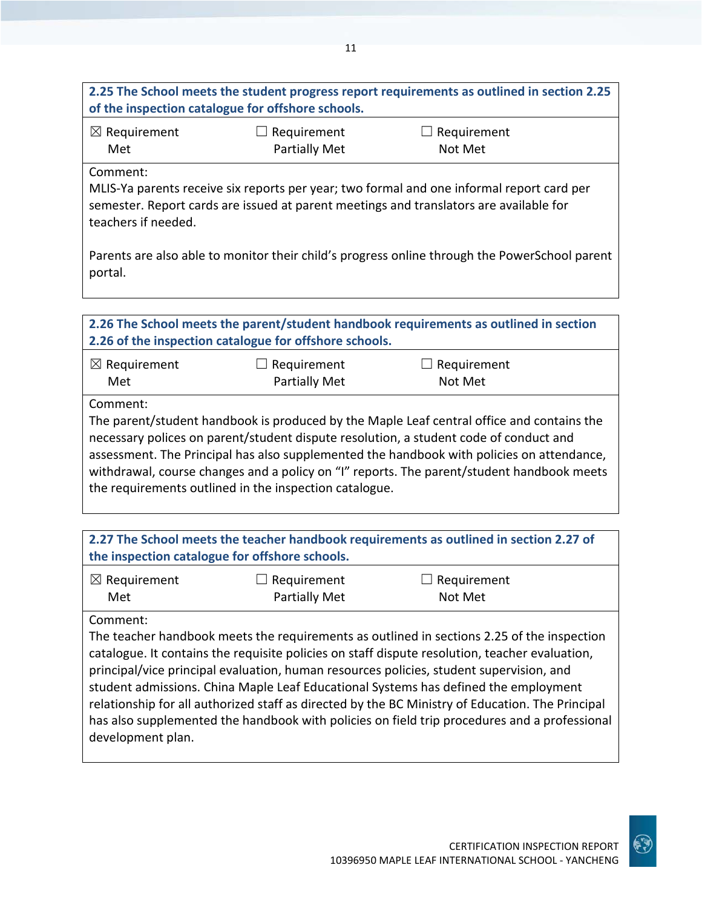| 2.25 The School meets the student progress report requirements as outlined in section 2.25 |
|--------------------------------------------------------------------------------------------|
| of the inspection catalogue for offshore schools.                                          |
|                                                                                            |

| $\boxtimes$ Requirement | $\Box$ Requirement | $\Box$ Requirement |
|-------------------------|--------------------|--------------------|
| Met                     | Partially Met      | Not Met            |

Comment:

MLIS-Ya parents receive six reports per year; two formal and one informal report card per semester. Report cards are issued at parent meetings and translators are available for teachers if needed.

Parents are also able to monitor their child's progress online through the PowerSchool parent portal.

| 2.26 The School meets the parent/student handbook requirements as outlined in section<br>2.26 of the inspection catalogue for offshore schools.                                                                                                                                                                                                                                                                                                    |                              |                               |  |
|----------------------------------------------------------------------------------------------------------------------------------------------------------------------------------------------------------------------------------------------------------------------------------------------------------------------------------------------------------------------------------------------------------------------------------------------------|------------------------------|-------------------------------|--|
| $\boxtimes$ Requirement<br>Met                                                                                                                                                                                                                                                                                                                                                                                                                     | Requirement<br>Partially Met | $\Box$ Requirement<br>Not Met |  |
| Comment:<br>The parent/student handbook is produced by the Maple Leaf central office and contains the<br>necessary polices on parent/student dispute resolution, a student code of conduct and<br>assessment. The Principal has also supplemented the handbook with policies on attendance,<br>withdrawal, course changes and a policy on "I" reports. The parent/student handbook meets<br>the requirements outlined in the inspection catalogue. |                              |                               |  |

| 2.27 The School meets the teacher handbook requirements as outlined in section 2.27 of<br>the inspection catalogue for offshore schools. |                                     |                                                                                                                                                                                                                                                                                                                                                                                                                                                                                                                                                                                    |  |
|------------------------------------------------------------------------------------------------------------------------------------------|-------------------------------------|------------------------------------------------------------------------------------------------------------------------------------------------------------------------------------------------------------------------------------------------------------------------------------------------------------------------------------------------------------------------------------------------------------------------------------------------------------------------------------------------------------------------------------------------------------------------------------|--|
| $\boxtimes$ Requirement<br>Met                                                                                                           | $\Box$ Requirement<br>Partially Met | Requirement<br>Not Met                                                                                                                                                                                                                                                                                                                                                                                                                                                                                                                                                             |  |
| Comment:<br>development plan.                                                                                                            |                                     | The teacher handbook meets the requirements as outlined in sections 2.25 of the inspection<br>catalogue. It contains the requisite policies on staff dispute resolution, teacher evaluation,<br>principal/vice principal evaluation, human resources policies, student supervision, and<br>student admissions. China Maple Leaf Educational Systems has defined the employment<br>relationship for all authorized staff as directed by the BC Ministry of Education. The Principal<br>has also supplemented the handbook with policies on field trip procedures and a professional |  |